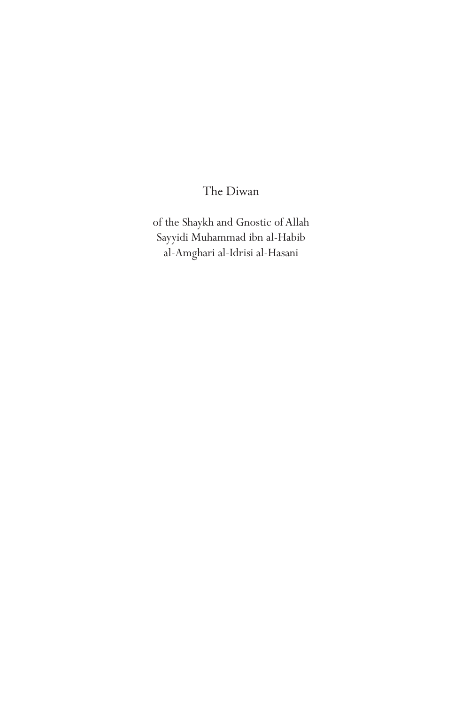The Diwan

of the Shaykh and Gnostic of Allah Sayyidi Muhammad ibn al-Habib al-Amghari al-Idrisi al-Hasani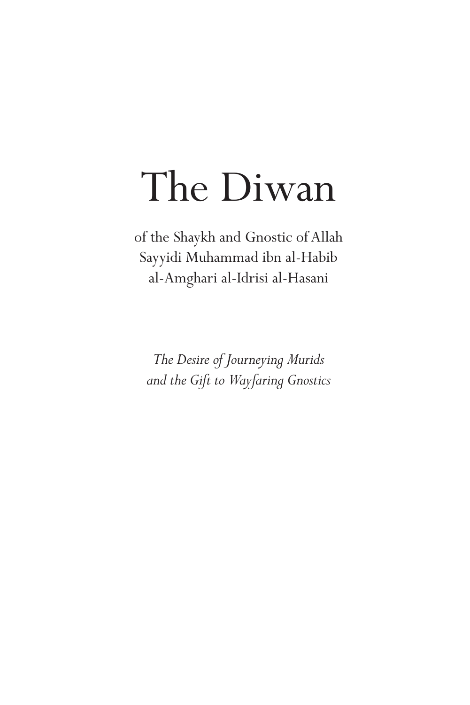# The Diwan

of the Shaykh and Gnostic of Allah Sayyidi Muhammad ibn al-Habib al-Amghari al-Idrisi al-Hasani

*The Desire of Journeying Murids and the Gift to Wayfaring Gnostics*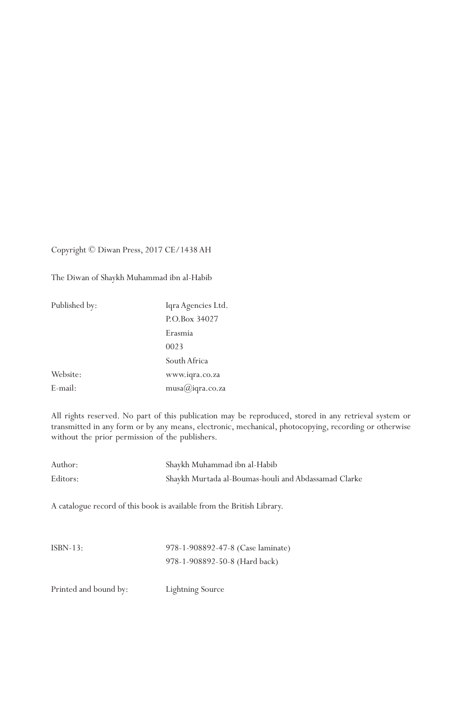#### Copyright © Diwan Press, 2017 CE/1438 AH

The Diwan of Shaykh Muhammad ibn al-Habib

| Published by: | Iqra Agencies Ltd.        |
|---------------|---------------------------|
|               | P.O.Box 34027             |
|               | Erasmia                   |
|               | 0023                      |
|               | South Africa              |
| Website:      | www.iqra.co.za            |
| E-mail:       | $musa(\alpha)$ iqra.co.za |

All rights reserved. No part of this publication may be reproduced, stored in any retrieval system or transmitted in any form or by any means, electronic, mechanical, photocopying, recording or otherwise without the prior permission of the publishers.

| Author:  | Shaykh Muhammad ibn al-Habib                                           |
|----------|------------------------------------------------------------------------|
| Editors: | Shaykh Murtada al-Boumas-houli and Abdassamad Clarke                   |
|          |                                                                        |
|          | A catalogue record of this book is available from the British Library. |

| $ISBN-13:$ | 978-1-908892-47-8 (Case laminate) |
|------------|-----------------------------------|
|            | 978-1-908892-50-8 (Hard back)     |

Printed and bound by: Lightning Source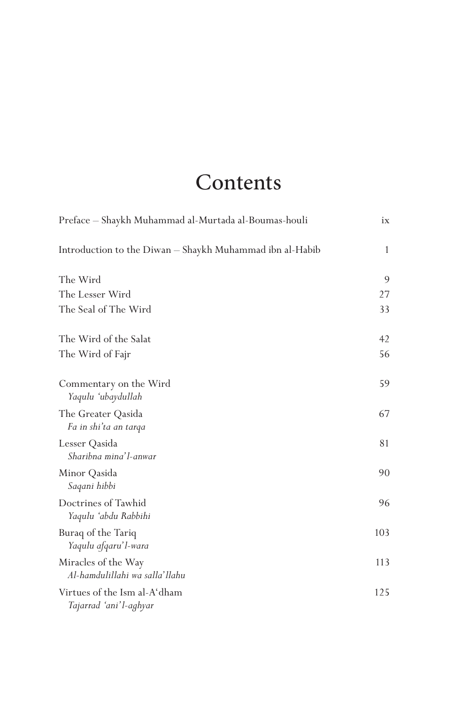# **Contents**

| Preface - Shaykh Muhammad al-Murtada al-Boumas-houli     |     |
|----------------------------------------------------------|-----|
| Introduction to the Diwan - Shaykh Muhammad ibn al-Habib | 1   |
| The Wird                                                 | 9   |
| The Lesser Wird                                          | 27  |
| The Seal of The Wird                                     | 33  |
| The Wird of the Salat                                    | 42  |
| The Wird of Fajr                                         | 56  |
| Commentary on the Wird<br>Yaqulu 'ubaydullah             | 59  |
| The Greater Qasida<br>Fa in shi'ta an tarqa              | 67  |
| Lesser Qasida<br>Sharibna mina'l-anwar                   | 81  |
| Minor Qasida<br>Saqani hibbi                             | 90  |
| Doctrines of Tawhid<br>Yaqulu 'abdu Rabbihi              | 96  |
| Buraq of the Tariq<br>Yaqulu afqaru'l-wara               | 103 |
| Miracles of the Way<br>Al-hamdulillahi wa salla'llahu    | 113 |
| Virtues of the Ism al-A'dham<br>Tajarrad 'ani'l-aghyar   | 125 |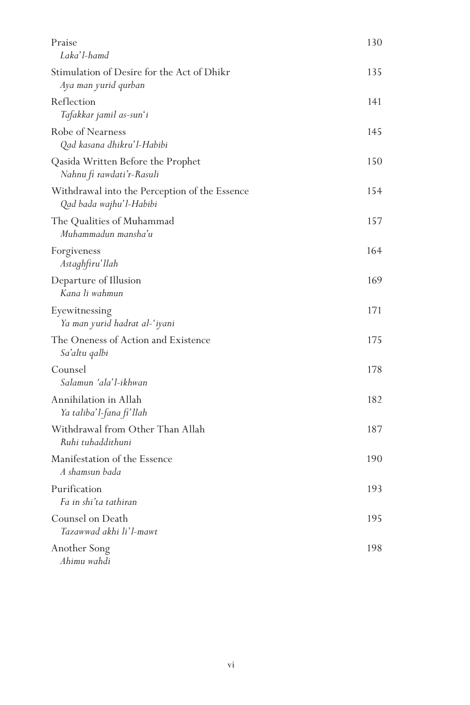| Praise                                                                   | 130 |
|--------------------------------------------------------------------------|-----|
| Laka'l-hamd                                                              |     |
| Stimulation of Desire for the Act of Dhikr<br>Aya man yurid qurban       | 135 |
| Reflection                                                               | 141 |
| Tafakkar jamil as-sun'i                                                  |     |
| Robe of Nearness<br>Qad kasana dhikru'l-Habibi                           | 145 |
| Qasida Written Before the Prophet<br>Nahnu fi rawdati'r-Rasuli           | 150 |
| Withdrawal into the Perception of the Essence<br>Qad bada wajhu'l-Habibi | 154 |
| The Qualities of Muhammad<br>Muhammadun mansha'u                         | 157 |
| Forgiveness<br>Astaghfiru'llah                                           | 164 |
| Departure of Illusion<br>Kana li wahmun                                  | 169 |
| Eyewitnessing<br>Ya man yurid hadrat al-'iyani                           | 171 |
| The Oneness of Action and Existence<br>Sa'altu qalbi                     | 175 |
| Counsel<br>Salamun 'ala'l-ikhwan                                         | 178 |
| Annihilation in Allah<br>Ya taliba'l-fana fi'llah                        | 182 |
| Withdrawal from Other Than Allah<br>Ruhi tuhaddithuni                    | 187 |
| Manifestation of the Essence<br>A shamsun bada                           | 190 |
| Purification<br>Fa in shi'ta tathiran                                    | 193 |
| Counsel on Death<br>Tazawwad akhi li'l-mawt                              | 195 |
| Another Song<br>Ahimu wahdi                                              | 198 |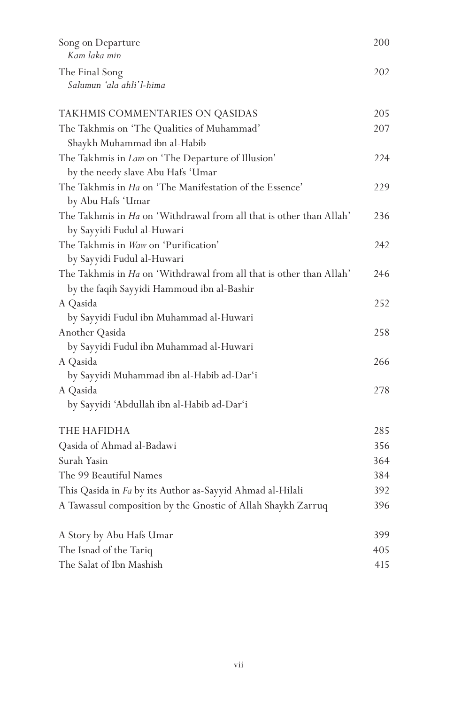| Song on Departure<br>Kam laka min                                   |     |
|---------------------------------------------------------------------|-----|
| The Final Song<br>Salumun 'ala ahli'l-hima                          | 202 |
| TAKHMIS COMMENTARIES ON QASIDAS                                     | 205 |
| The Takhmis on 'The Qualities of Muhammad'                          | 207 |
| Shaykh Muhammad ibn al-Habib                                        |     |
| The Takhmis in Lam on 'The Departure of Illusion'                   | 224 |
| by the needy slave Abu Hafs 'Umar                                   |     |
| The Takhmis in Ha on 'The Manifestation of the Essence'             | 229 |
| by Abu Hafs 'Umar                                                   |     |
| The Takhmis in Ha on 'Withdrawal from all that is other than Allah' | 236 |
| by Sayyidi Fudul al-Huwari                                          |     |
| The Takhmis in Waw on 'Purification'                                | 242 |
| by Sayyidi Fudul al-Huwari                                          |     |
| The Takhmis in Ha on 'Withdrawal from all that is other than Allah' | 246 |
| by the faqih Sayyidi Hammoud ibn al-Bashir                          |     |
| A Qasida                                                            | 252 |
| by Sayyidi Fudul ibn Muhammad al-Huwari                             |     |
| Another Qasida                                                      | 258 |
| by Sayyidi Fudul ibn Muhammad al-Huwari                             |     |
| A Qasida                                                            | 266 |
| by Sayyidi Muhammad ibn al-Habib ad-Dar'i                           |     |
| A Qasida                                                            | 278 |
| by Sayyidi 'Abdullah ibn al-Habib ad-Dar'i                          |     |
| THE HAFIDHA                                                         | 285 |
| Qasida of Ahmad al-Badawi                                           | 356 |
| Surah Yasin                                                         | 364 |
| The 99 Beautiful Names                                              | 384 |
| This Qasida in Fa by its Author as-Sayyid Ahmad al-Hilali           | 392 |
| A Tawassul composition by the Gnostic of Allah Shaykh Zarruq        | 396 |
| A Story by Abu Hafs Umar                                            | 399 |
| The Isnad of the Tariq                                              | 405 |
| The Salat of Ibn Mashish                                            | 415 |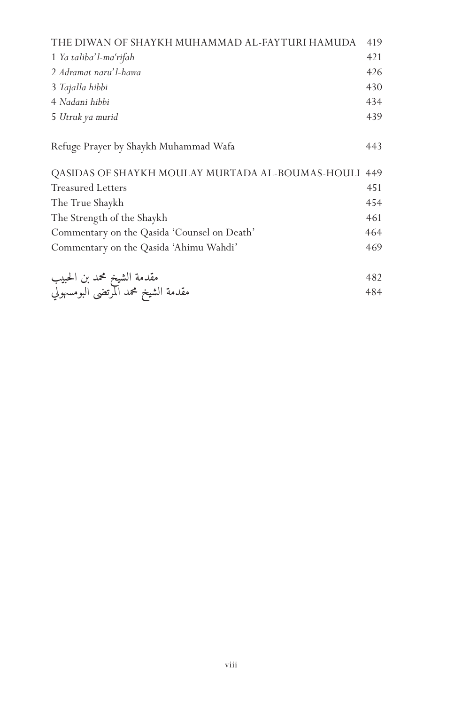| THE DIWAN OF SHAYKH MUHAMMAD AL-FAYTURI HAMUDA                    |     |
|-------------------------------------------------------------------|-----|
| 1 Ya taliba'l-ma'rifah                                            | 421 |
| 2 Adramat naru'l-hawa                                             | 426 |
| 3 Tajalla hibbi                                                   | 430 |
| 4 Nadani hibbi                                                    | 434 |
| 5 Utruk ya murid                                                  | 439 |
|                                                                   |     |
| Refuge Prayer by Shaykh Muhammad Wafa                             | 443 |
|                                                                   |     |
| QASIDAS OF SHAYKH MOULAY MURTADA AL-BOUMAS-HOULI                  | 449 |
| <b>Treasured Letters</b>                                          | 451 |
| The True Shaykh                                                   | 454 |
| The Strength of the Shaykh                                        | 461 |
| Commentary on the Qasida 'Counsel on Death'                       | 464 |
| Commentary on the Qasida 'Ahimu Wahdi'                            | 469 |
|                                                                   |     |
|                                                                   | 482 |
| مقدمة الشيخ محمد بن الحبيب<br>مقدمة الشيخ محمد المرتضى البومسهولي | 484 |
|                                                                   |     |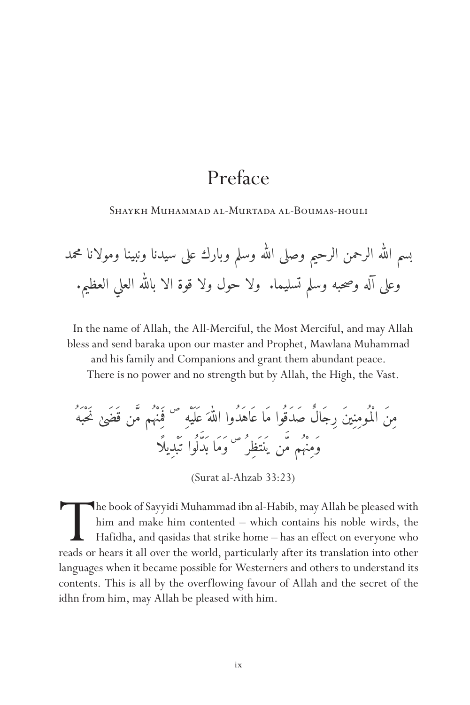# Preface

Shaykh Muhammad al-Murtada al-Boumas-houli

له وسلم وبارك على سيدنا ونبينا ومولانا محمد � له الرحمن الرحيم وصلى ال� � بسم ال� له العلي العظيم. � وعلى آله وصحبه وسلم تسليما. ولا حول ولا قوة الا بال�

In the name of Allah, the All-Merciful, the Most Merciful, and may Allah bless and send baraka upon our master and Prophet, Mawlana Muhammad and his family and Companions and grant them abundant peace.

There is no power and no strength but by Allah, the High, the Vast.

ل نَحْب َهُ ص َ ف َمِنْه ُم م�ّن ق َضَى َ ع َل َيْهِ له � مِنَ الْم ُومِنِينَ رِجَالٌ صَدَق ُوا مَا ع َاهَدُوا ال� َ ل ُوا ت َبْدِيل ًا َ ن ي َنت َظِر ُ ص � وَمَا ب َد وَمِنْه ُم م�

(Surat al-Ahzab 33:23)

The book of Sayyidi Muhammad ibn al-Habib, may Allah be pleased with him and make him contented — which contains his noble wirds, the Hafidha, and qasidas that strike home — has an effect on everyone who reads or hears it him and make him contented – which contains his noble wirds, the Hafidha, and qasidas that strike home – has an effect on everyone who languages when it became possible for Westerners and others to understand its contents. This is all by the overflowing favour of Allah and the secret of the idhn from him, may Allah be pleased with him.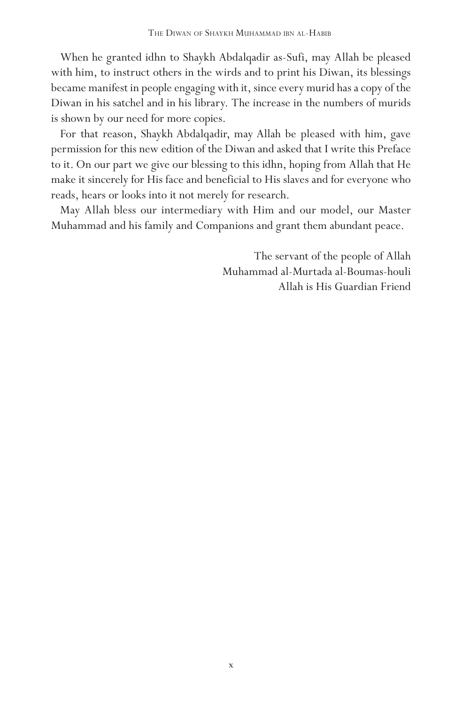When he granted idhn to Shaykh Abdalqadir as-Sufi, may Allah be pleased with him, to instruct others in the wirds and to print his Diwan, its blessings became manifest in people engaging with it, since every murid has a copy of the Diwan in his satchel and in his library. The increase in the numbers of murids is shown by our need for more copies.

For that reason, Shaykh Abdalqadir, may Allah be pleased with him, gave permission for this new edition of the Diwan and asked that I write this Preface to it. On our part we give our blessing to this idhn, hoping from Allah that He make it sincerely for His face and beneficial to His slaves and for everyone who reads, hears or looks into it not merely for research.

May Allah bless our intermediary with Him and our model, our Master Muhammad and his family and Companions and grant them abundant peace.

> The servant of the people of Allah Muhammad al-Murtada al-Boumas-houli Allah is His Guardian Friend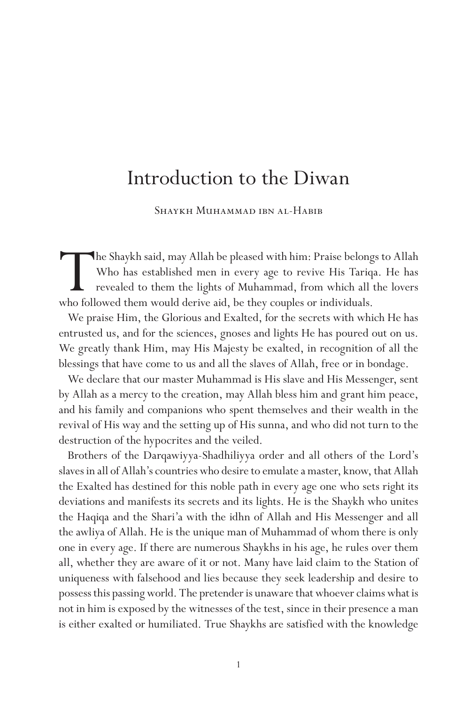## Introduction to the Diwan

Shaykh Muhammad ibn al-Habib

The Shaykh said, may Allah be pleased with him: Praise belongs to Allah Who has established men in every age to revive His Tariqa. He has revealed to them the lights of Muhammad, from which all the lovers who followed them Who has established men in every age to revive His Tariqa. He has revealed to them the lights of Muhammad, from which all the lovers who followed them would derive aid, be they couples or individuals.

We praise Him, the Glorious and Exalted, for the secrets with which He has entrusted us, and for the sciences, gnoses and lights He has poured out on us. We greatly thank Him, may His Majesty be exalted, in recognition of all the blessings that have come to us and all the slaves of Allah, free or in bondage.

We declare that our master Muhammad is His slave and His Messenger, sent by Allah as a mercy to the creation, may Allah bless him and grant him peace, and his family and companions who spent themselves and their wealth in the revival of His way and the setting up of His sunna, and who did not turn to the destruction of the hypocrites and the veiled.

Brothers of the Darqawiyya-Shadhiliyya order and all others of the Lord's slaves in all of Allah's countries who desire to emulate a master, know, that Allah the Exalted has destined for this noble path in every age one who sets right its deviations and manifests its secrets and its lights. He is the Shaykh who unites the Haqiqa and the Shari'a with the idhn of Allah and His Messenger and all the awliya of Allah. He is the unique man of Muhammad of whom there is only one in every age. If there are numerous Shaykhs in his age, he rules over them all, whether they are aware of it or not. Many have laid claim to the Station of uniqueness with falsehood and lies because they seek leadership and desire to possess this passing world. The pretender is unaware that whoever claims what is not in him is exposed by the witnesses of the test, since in their presence a man is either exalted or humiliated. True Shaykhs are satisfied with the knowledge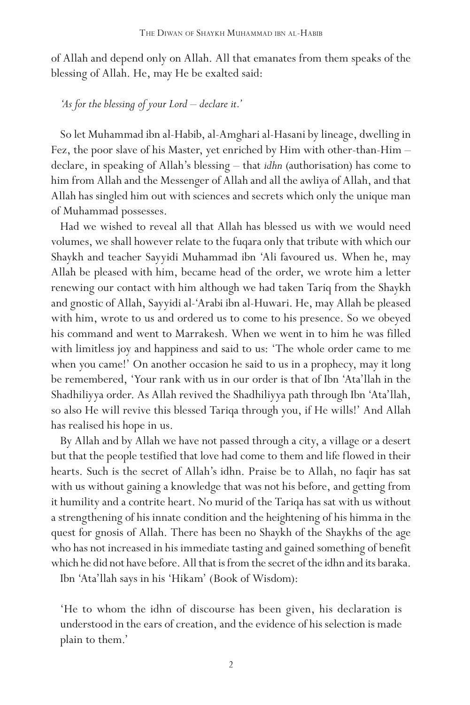of Allah and depend only on Allah. All that emanates from them speaks of the blessing of Allah. He, may He be exalted said:

*'As for the blessing of your Lord – declare it.'*

So let Muhammad ibn al-Habib, al-Amghari al-Hasani by lineage, dwelling in Fez, the poor slave of his Master, yet enriched by Him with other-than-Him – declare, in speaking of Allah's blessing – that *idhn* (authorisation) has come to him from Allah and the Messenger of Allah and all the awliya of Allah, and that Allah has singled him out with sciences and secrets which only the unique man of Muhammad possesses.

Had we wished to reveal all that Allah has blessed us with we would need volumes, we shall however relate to the fuqara only that tribute with which our Shaykh and teacher Sayyidi Muhammad ibn 'Ali favoured us. When he, may Allah be pleased with him, became head of the order, we wrote him a letter renewing our contact with him although we had taken Tariq from the Shaykh and gnostic of Allah, Sayyidi al-'Arabi ibn al-Huwari. He, may Allah be pleased with him, wrote to us and ordered us to come to his presence. So we obeyed his command and went to Marrakesh. When we went in to him he was filled with limitless joy and happiness and said to us: 'The whole order came to me when you came!' On another occasion he said to us in a prophecy, may it long be remembered, 'Your rank with us in our order is that of Ibn 'Ata'llah in the Shadhiliyya order. As Allah revived the Shadhiliyya path through Ibn 'Ata'llah, so also He will revive this blessed Tariqa through you, if He wills!' And Allah has realised his hope in us.

By Allah and by Allah we have not passed through a city, a village or a desert but that the people testified that love had come to them and life flowed in their hearts. Such is the secret of Allah's idhn. Praise be to Allah, no faqir has sat with us without gaining a knowledge that was not his before, and getting from it humility and a contrite heart. No murid of the Tariqa has sat with us without a strengthening of his innate condition and the heightening of his himma in the quest for gnosis of Allah. There has been no Shaykh of the Shaykhs of the age who has not increased in his immediate tasting and gained something of benefit which he did not have before. All that is from the secret of the idhn and its baraka.

Ibn 'Ata'llah says in his 'Hikam' (Book of Wisdom):

'He to whom the idhn of discourse has been given, his declaration is understood in the ears of creation, and the evidence of his selection is made plain to them.'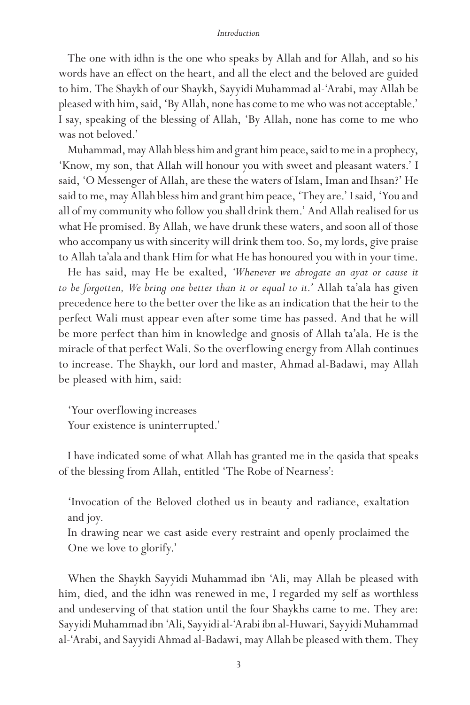#### *Introduction*

The one with idhn is the one who speaks by Allah and for Allah, and so his words have an effect on the heart, and all the elect and the beloved are guided to him. The Shaykh of our Shaykh, Sayyidi Muhammad al-'Arabi, may Allah be pleased with him, said, 'By Allah, none has come to me who was not acceptable.' I say, speaking of the blessing of Allah, 'By Allah, none has come to me who was not beloved.'

Muhammad, may Allah bless him and grant him peace, said to me in a prophecy, 'Know, my son, that Allah will honour you with sweet and pleasant waters.' I said, 'O Messenger of Allah, are these the waters of Islam, Iman and Ihsan?' He said to me, may Allah bless him and grant him peace, 'They are.' I said, 'You and all of my community who follow you shall drink them.' And Allah realised for us what He promised. By Allah, we have drunk these waters, and soon all of those who accompany us with sincerity will drink them too. So, my lords, give praise to Allah ta'ala and thank Him for what He has honoured you with in your time.

He has said, may He be exalted, *'Whenever we abrogate an ayat or cause it to be forgotten, We bring one better than it or equal to it.'* Allah ta'ala has given precedence here to the better over the like as an indication that the heir to the perfect Wali must appear even after some time has passed. And that he will be more perfect than him in knowledge and gnosis of Allah ta'ala. He is the miracle of that perfect Wali. So the overflowing energy from Allah continues to increase. The Shaykh, our lord and master, Ahmad al-Badawi, may Allah be pleased with him, said:

'Your overflowing increases Your existence is uninterrupted.'

I have indicated some of what Allah has granted me in the qasida that speaks of the blessing from Allah, entitled 'The Robe of Nearness':

'Invocation of the Beloved clothed us in beauty and radiance, exaltation and joy.

In drawing near we cast aside every restraint and openly proclaimed the One we love to glorify.'

When the Shaykh Sayyidi Muhammad ibn 'Ali, may Allah be pleased with him, died, and the idhn was renewed in me, I regarded my self as worthless and undeserving of that station until the four Shaykhs came to me. They are: Sayyidi Muhammad ibn 'Ali, Sayyidi al-'Arabi ibn al-Huwari, Sayyidi Muhammad al-'Arabi, and Sayyidi Ahmad al-Badawi, may Allah be pleased with them. They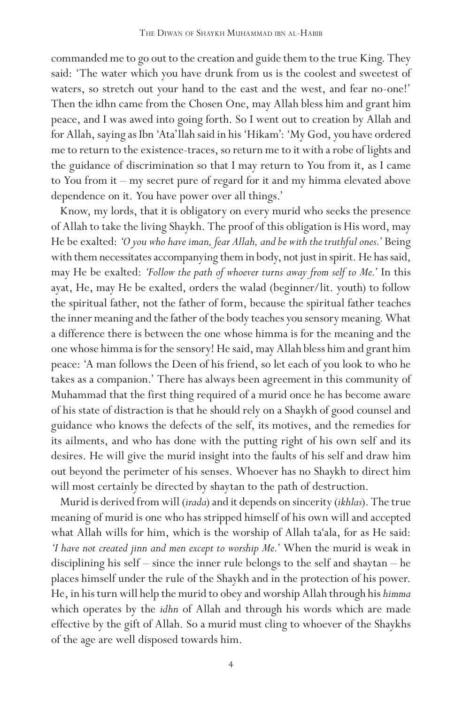commanded me to go out to the creation and guide them to the true King. They said: 'The water which you have drunk from us is the coolest and sweetest of waters, so stretch out your hand to the east and the west, and fear no-one!' Then the idhn came from the Chosen One, may Allah bless him and grant him peace, and I was awed into going forth. So I went out to creation by Allah and for Allah, saying as Ibn 'Ata'llah said in his 'Hikam': 'My God, you have ordered me to return to the existence-traces, so return me to it with a robe of lights and the guidance of discrimination so that I may return to You from it, as I came to You from it – my secret pure of regard for it and my himma elevated above dependence on it. You have power over all things.'

Know, my lords, that it is obligatory on every murid who seeks the presence of Allah to take the living Shaykh. The proof of this obligation is His word, may He be exalted: *'O you who have iman, fear Allah, and be with the truthful ones.'* Being with them necessitates accompanying them in body, not just in spirit. He has said, may He be exalted: *'Follow the path of whoever turns away from self to Me.'* In this ayat, He, may He be exalted, orders the walad (beginner/lit. youth) to follow the spiritual father, not the father of form, because the spiritual father teaches the inner meaning and the father of the body teaches you sensory meaning. What a difference there is between the one whose himma is for the meaning and the one whose himma is for the sensory! He said, may Allah bless him and grant him peace: 'A man follows the Deen of his friend, so let each of you look to who he takes as a companion.' There has always been agreement in this community of Muhammad that the first thing required of a murid once he has become aware of his state of distraction is that he should rely on a Shaykh of good counsel and guidance who knows the defects of the self, its motives, and the remedies for its ailments, and who has done with the putting right of his own self and its desires. He will give the murid insight into the faults of his self and draw him out beyond the perimeter of his senses. Whoever has no Shaykh to direct him will most certainly be directed by shaytan to the path of destruction.

Murid is derived from will (*irada*) and it depends on sincerity (*ikhlas*). The true meaning of murid is one who has stripped himself of his own will and accepted what Allah wills for him, which is the worship of Allah ta'ala, for as He said: *'I have not created jinn and men except to worship Me.'* When the murid is weak in disciplining his self – since the inner rule belongs to the self and shaytan – he places himself under the rule of the Shaykh and in the protection of his power. He, in his turn will help the murid to obey and worship Allah through his *himma* which operates by the *idhn* of Allah and through his words which are made effective by the gift of Allah. So a murid must cling to whoever of the Shaykhs of the age are well disposed towards him.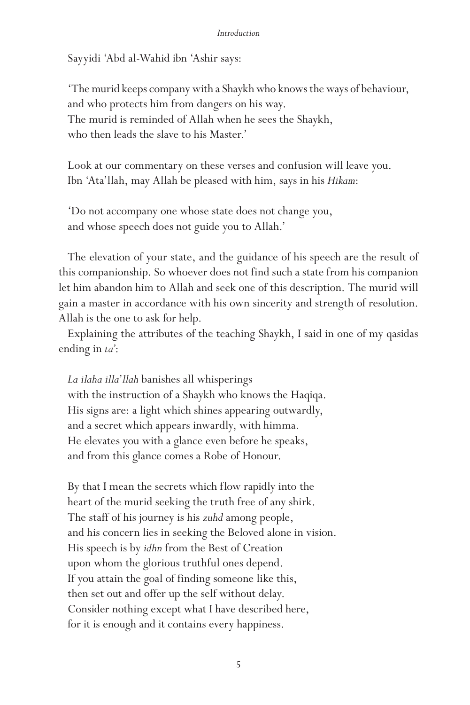#### *Introduction*

Sayyidi 'Abd al-Wahid ibn 'Ashir says:

'The murid keeps company with a Shaykh who knows the ways of behaviour, and who protects him from dangers on his way. The murid is reminded of Allah when he sees the Shaykh, who then leads the slave to his Master.'

Look at our commentary on these verses and confusion will leave you. Ibn 'Ata'llah, may Allah be pleased with him, says in his *Hikam*:

'Do not accompany one whose state does not change you, and whose speech does not guide you to Allah.'

The elevation of your state, and the guidance of his speech are the result of this companionship. So whoever does not find such a state from his companion let him abandon him to Allah and seek one of this description. The murid will gain a master in accordance with his own sincerity and strength of resolution. Allah is the one to ask for help.

Explaining the attributes of the teaching Shaykh, I said in one of my qasidas ending in *ta'*:

*La ilaha illa'llah* banishes all whisperings with the instruction of a Shaykh who knows the Haqiqa. His signs are: a light which shines appearing outwardly, and a secret which appears inwardly, with himma. He elevates you with a glance even before he speaks, and from this glance comes a Robe of Honour.

By that I mean the secrets which flow rapidly into the heart of the murid seeking the truth free of any shirk. The staff of his journey is his *zuhd* among people, and his concern lies in seeking the Beloved alone in vision. His speech is by *idhn* from the Best of Creation upon whom the glorious truthful ones depend. If you attain the goal of finding someone like this, then set out and offer up the self without delay. Consider nothing except what I have described here, for it is enough and it contains every happiness.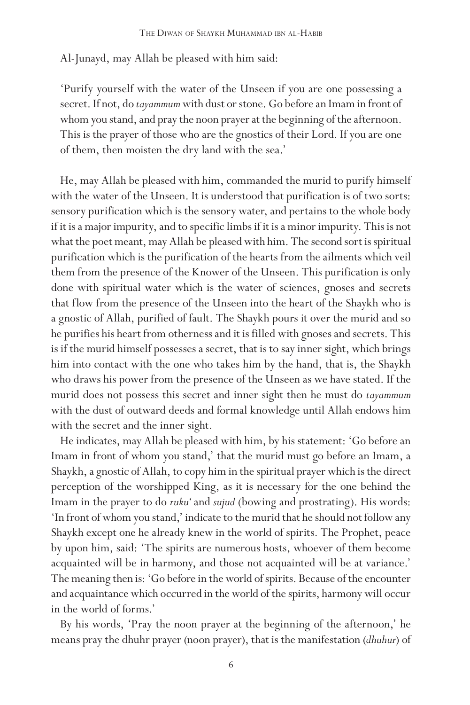Al-Junayd, may Allah be pleased with him said:

'Purify yourself with the water of the Unseen if you are one possessing a secret. If not, do *tayammum* with dust or stone. Go before an Imam in front of whom you stand, and pray the noon prayer at the beginning of the afternoon. This is the prayer of those who are the gnostics of their Lord. If you are one of them, then moisten the dry land with the sea.'

He, may Allah be pleased with him, commanded the murid to purify himself with the water of the Unseen. It is understood that purification is of two sorts: sensory purification which is the sensory water, and pertains to the whole body if it is a major impurity, and to specific limbs if it is a minor impurity. This is not what the poet meant, may Allah be pleased with him. The second sort is spiritual purification which is the purification of the hearts from the ailments which veil them from the presence of the Knower of the Unseen. This purification is only done with spiritual water which is the water of sciences, gnoses and secrets that flow from the presence of the Unseen into the heart of the Shaykh who is a gnostic of Allah, purified of fault. The Shaykh pours it over the murid and so he purifies his heart from otherness and it is filled with gnoses and secrets. This is if the murid himself possesses a secret, that is to say inner sight, which brings him into contact with the one who takes him by the hand, that is, the Shaykh who draws his power from the presence of the Unseen as we have stated. If the murid does not possess this secret and inner sight then he must do *tayammum* with the dust of outward deeds and formal knowledge until Allah endows him with the secret and the inner sight.

He indicates, may Allah be pleased with him, by his statement: 'Go before an Imam in front of whom you stand,' that the murid must go before an Imam, a Shaykh, a gnostic of Allah, to copy him in the spiritual prayer which is the direct perception of the worshipped King, as it is necessary for the one behind the Imam in the prayer to do *ruku'* and *sujud* (bowing and prostrating). His words: 'In front of whom you stand,' indicate to the murid that he should not follow any Shaykh except one he already knew in the world of spirits. The Prophet, peace by upon him, said: 'The spirits are numerous hosts, whoever of them become acquainted will be in harmony, and those not acquainted will be at variance.' The meaning then is: 'Go before in the world of spirits. Because of the encounter and acquaintance which occurred in the world of the spirits, harmony will occur in the world of forms.'

By his words, 'Pray the noon prayer at the beginning of the afternoon,' he means pray the dhuhr prayer (noon prayer), that is the manifestation (*dhuhur*) of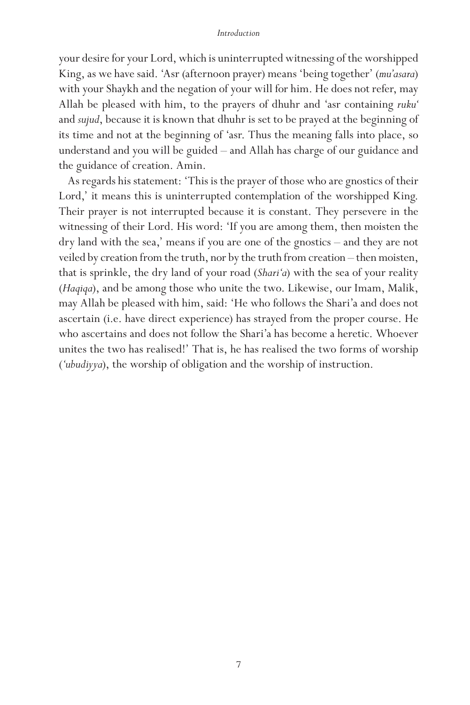#### *Introduction*

your desire for your Lord, which is uninterrupted witnessing of the worshipped King, as we have said. 'Asr (afternoon prayer) means 'being together' (*mu'asara*) with your Shaykh and the negation of your will for him. He does not refer, may Allah be pleased with him, to the prayers of dhuhr and 'asr containing *ruku'* and *sujud*, because it is known that dhuhr is set to be prayed at the beginning of its time and not at the beginning of 'asr. Thus the meaning falls into place, so understand and you will be guided – and Allah has charge of our guidance and the guidance of creation. Amin.

As regards his statement: 'This is the prayer of those who are gnostics of their Lord,' it means this is uninterrupted contemplation of the worshipped King. Their prayer is not interrupted because it is constant. They persevere in the witnessing of their Lord. His word: 'If you are among them, then moisten the dry land with the sea,' means if you are one of the gnostics – and they are not veiled by creation from the truth, nor by the truth from creation – then moisten, that is sprinkle, the dry land of your road (*Shari'a*) with the sea of your reality (*Haqiqa*), and be among those who unite the two. Likewise, our Imam, Malik, may Allah be pleased with him, said: 'He who follows the Shari'a and does not ascertain (i.e. have direct experience) has strayed from the proper course. He who ascertains and does not follow the Shari'a has become a heretic. Whoever unites the two has realised!' That is, he has realised the two forms of worship (*'ubudiyya*), the worship of obligation and the worship of instruction.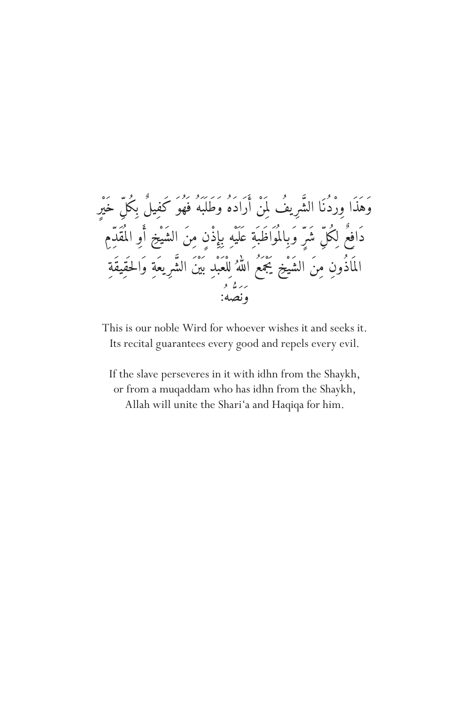

This is our noble Wird for whoever wishes it and seeks it. Its recital guarantees every good and repels every evil.

If the slave perseveres in it with idhn from the Shaykh, or from a muqaddam who has idhn from the Shaykh, Allah will unite the Shari'a and Haqiqa for him.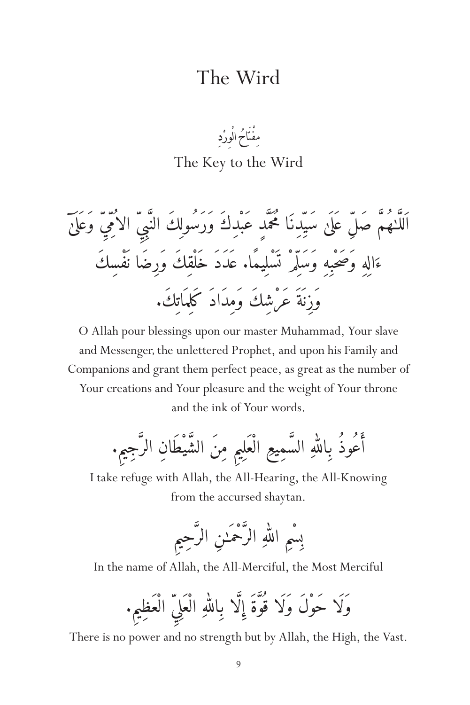### The Wird

#### ِ مفْتَاحُ الْوِرْدِ ؚ<br>ׇ֖֧֡֬֝֟֟֟֟֟֟֟֟֟֟֟֟֟֟֟֟֟֟֟֟֟֟֟֟֟֟֡֟֟֟֡֬֟֩<sup>֟</sup> ْ The Key to the Wird

ل ِ ٓ وَع َل َى ِ الا ُم�ِي� ِي� ل سَي�ِدِنَ َ ا م ُح َم�دٍ عَبْدِكَ وَرَسُولِ َكَ الن�ب اََلل� َ� ٰهُم �ِ صَل ع َل َى َال ِهِ وَصَ حْبِهِ وَسَل�ِمْ ت َسْل ِيمًا. ع َدَدَ خَلْقِكَ وَرِضَا ن َفْسِكَ ء وَزِن َةَ عَرْشِكَ وَمِدَادَ كَلِم َات ِك.َ

O Allah pour blessings upon our master Muhammad, Your slave and Messenger, the unlettered Prophet, and upon his Family and Companions and grant them perfect peace, as great as the number of Your creations and Your pleasure and the weight of Your throne and the ink of Your words.

.ِ ِ َ� مِنَ الش َ يْطَانِ الر�جِيم ِ الْعَل ِيم ِ َ� السمِيع ه ل � َأعُوذُ بِال�

I take refuge with Allah, the All-Hearing, the All-Knowing from the accursed shaytan.

> بِسِمِ اللَّهِ الرحمـٰنِ الرحِيمِ ل �

In the name of Allah, the All-Merciful, the Most Merciful

وْلَا حَوْلَ وَلَا قَوْةً إِلَّا بِاللَّهِ الْعَلِي الْعَظِيمِ.  $\overline{\phantom{a}}$ ل �

There is no power and no strength but by Allah, the High, the Vast.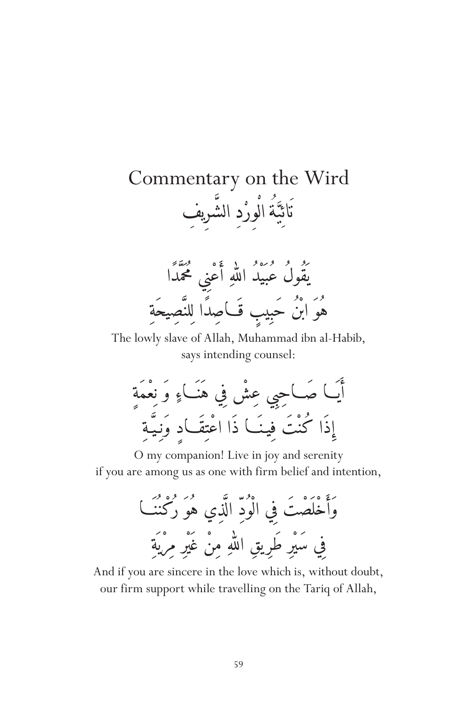#### Commentary on the Wird ائِبَةَ الْوِرْدِ الشَّرِيفِ ׅ֘֒<u>֔</u> ْ الماسي.<br>المراجع ّ ية<br>و ِ .<br>ذ



The lowly slave of Allah, Muhammad ibn al-Habib, says intending counsel:



O my companion! Live in joy and serenity if you are among us as one with firm belief and intention,

> وَأَخْلَصْتَ فِي الْوُدِّ الَّذِي هُوَ رُكْنُنَــا فِي سَيْرِ طَرِيقِ اللَّهِ مِنْ غَيْرِ مِرِيةِ ل �

And if you are sincere in the love which is, without doubt, our firm support while travelling on the Tariq of Allah,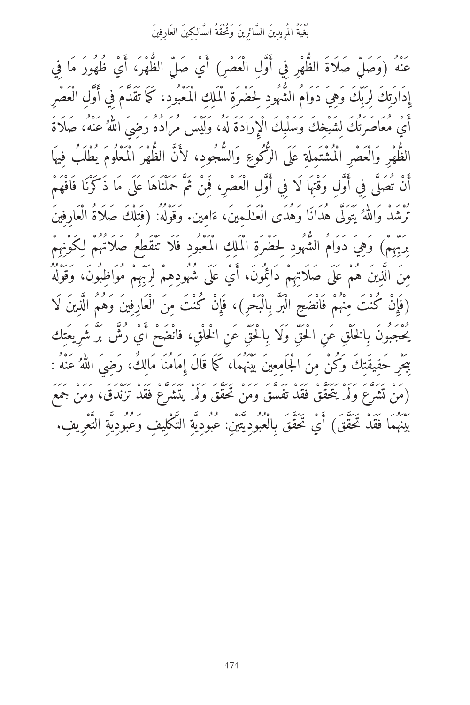ِّ بِمَنْهُ الْمُرِيدِينَ السَّائِرِينَ وَتُحْقَةُ السَّالِكِينَ العَارِفِينَ

<sup>ِي</sup>َةُ (وَصَلّ صَلَاةَ الظُّهْرِ فِي أَوَّلِ الْعَصْرِ) أَيْ صَلّ الظُّهْرَ، أَيْ ظُهُورَ مَا فِي إِدَارَتِكَ لِرَبّكَ وَهِيَ دَوَامُ الشُّهُودِ لِحَضْرَةِ الْمَلَكِ الْمَعْبُودِ، كَمَا تَقَدَّمَ فِي أَوَّلِ الْعَصْرِ اي معاصرتك لِشَيْخِكَ وَسَلْبِكَ الْإِرَادَةُ لَهُ، وَلَيْسَ مَرَادُهُ رَضِيَ اللهُ عَنْهُ، صَلاَةٌ َ � الظّهْرِ وَالْعَصْرِ الْمُشْتَمِلَةِ عَلَى الرَّكُوعِ وَالسَّجُودِ، لأنَّ الظّهْرَ الْمَعْلُومَ يُطْلَبُ فِيهَا أَنْ تُصَلَّى فِي أَوَّلِ وَقْتِهَا لَا فِي أَوَّلِ الْعَصْرِ، فَمِنْ ثَمَّ حَمْلْنَاهَا عَلَى مَا ذَكَرْنَا فَافْهَمْ تَرَشَّدْ وَاللَّهُ يَتُولَّى هَدَانَا وَهُدًى الْعَـٰلَـمِينَ، ءَامِينَ. وَقُولُهُ: (فُتِلِكَ صَلَاةُ العَارِفِين<br>. � بَرْبِهِمْ) وَهِيَ دَوَامُ الشُّهُودِ لِحَضْرَةِ الْمَلِكِ الْمَعْبُودِ فَلَا تَنْقَطِعُ صَلاَتُهُمْ لِكَوْنِهِمْ مِنَ الَّذِينَ هُمْ عَلَى صَلَاتِهِمْ دَائِمُونَ، أَيْ عَلَى شُهُودِهِمْ لِرَبِّهِمْ مُوَاظِبُونَ، وَقَوْلُهُ (فَإِنْ كُنْتَ مِنْهُمْ فَانْضَحِ الْبَرَّ بِالْبَحْرِ)، فَإِنْ كُنْتَ مِنَ الْعَارِفِينَ وَهُمُ الَّذِينَ لَا يُحْجَبُونَ بِالخَلْقِ عَن الْحَقِّ وَلَا بِالْحَقِّ عَن الْخَلْقِ، فانْضَحْ أَيْ رُشٌ بَرَّ شَرِيعَتِك بِبَحْرِ حَقِيقَتِكَ وَكُنْ مِنَ الْجَامِعِينَ بَيْنَهُمَا، كَمَا قَالَ إِمَامُنَا مَالِكَ، رَضِيَ اللَّهُ عَنْه : � (مَنْ تَشْرَعَ وَلَمْ يَتَحَقَّقْ فَقَدْ تَفَسَّقَ وَمَنْ تَحَقَّقَ وَلَمْهِ يَتَشَرَّعْ فَقَدْ تَزَنْدَقَ، وَمَنْ جَمَع عَ مَمْرٌ فَقَدْ تَحَقَّقَ) أَيْ تَحَقَّقَ بِالْعُبُودِيَّتِين: عُبُودِيَّة التَّكْلِيف وَعُبُودِيَّةِ التَّعْرِيفِ.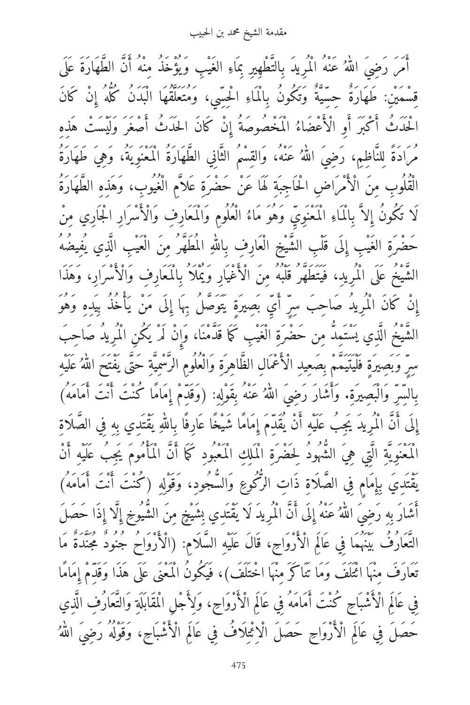مقدمة الشيخ محمد بن الحبيب

أَمَرَ رَضِيَ اللهُ عَنْهُ الْمَرِيدَ بِالتَّطْهِيرِ بِمَاءِ الغَيْبِ وَيَؤْخَذُ مِنْهُ أَنَّ الطَّهَارَةَ عَلَى l<br>. قِسْمَيْنِ: طَهَارَةُ حِسِّيَّةُ وَتَكُونُ بِالْمَاءِ الْحِسِّيِ، وَمُتَعَلِّقُهَا الْبُدَنُ كُلُّهُ إِنْ كَانَ الْحَدْثُ الْكَبْرِ أَوِ الْأَعْضَاءُ الْمُخْصُوصَةُ إِنْ كَانَ الْحَدْثُ أَصْغَر وَلَيْسَتْ هَذِهِ مرادةً لِلنَاظِمِ، رَضِيَ اللَّهُ عَنْه، والْقِسْمِ الثَّانِي الطَّهَارَةُ المُعْنُوِيَّة، وَهِي طَهَارَةُ � الْقُلُوبِ مِنَ الْأَمْرَاضِ الْحَاجِبَةِ لَهَا عَنْ حَضْرَةِ عَلاَّم الْغُيُوبِ، وَهَذِهِ الطَّهَارَةُ لَا تَكُونُ إِلاَّ بِالْمَاءِ الْمُعْنَوِيُّ وَهُوَ مَاءُ الْعُلُومِ وَالْمَعَارِفِ وَالْأَسْرَارِ الْجَارِي مِنْ حَضْرَةِ الغَيْبِ إِلَى قُلْبِ الشَّيْخِ الْعَارِفِ بِاللهِ المُطَهَّرُ مِنَ الْعَيْبِ الَّذِي يُفِيضُهُ � الشَّيخُ عَلَى الْمُرِيدِ، فَيَتَطَهَّرُ قَلْبُهُ مِنَ الْأَغْيَارِ وَيُمْلاُ بِالْمَعَارِفِ وَالْأَسْرَارِ، وَهَذَا إِنْ كَانَ الْمُرِيدِ صَاحِبٍ سِرِ اي بِصِيرةٍ يَتوصَلُ بِهَا إِلَى مَنْ يَاخَذُ بِيدِهِ وَهُوَ الشيخ الَّذِي يستمِد مِن حَضْرَةِ الْغَيْبِ كَمَا قَدْمَنَا، وَإِنْ لَمْ يَكُنِ الْمَرِيدِ صَاحِب سِرِ وَبَصِيرِةٍ فَلَيْتِيمُمْ بِصَعِيدِ الْأَعْمَالِ الظَّاهِرَةِ وَالْعَلْوَمِ الرَّسِمِيةِ حَتَّى يَفْتح اللَّهُ عَلَيْهِ � بِالسِرِ والبَصِيرَةِ. وَاشْارْ رَضِيَ اللهُ عَنْهُ بِقُولِهِ: (وَقَدِمْ إِمَامًا كُنْتَ أَنْتَ أَمَامَهُ) � إِلَى أَنْ الْمَرِيدِ يَجِبُ عَلَيْهِ أَنْ يَقْدِمْ إِمَامًا شَيْخًا عَارِفًا بِاللَّهِ يَقْتَدِي بِهِ فِي الصلاةِ � الْمَعْنُويَةِ الَّتِي هِي الشَّهُودُ لِحَضْرَةِ الْمَلِكِ الْمَعْبُودِ كَمَا أَنَّ الْمَامُومَ يَجِبُ عَلَيْهِ أَنْ بَقْتَدِيَ بِإِمَامٍ فِي الصَّلَاةِ ذَاتِ الرُّكُوعِ وَالسُّجُودِ، وَقَوْلِهِ (كُنْتَ أَنْتَ أَمَامَهُ) أَشَارَ بِهِ رَضِيَ اللهُ عَنْهُ إِلَى أَنَّ الْمَرِيدَ لَا يَقْتَدِي بِشَيْخٍ مِنَ الشَّيوخِ إِلَّا إِذَا حَصَلَ ِ ì. التَّعَارُفُ بَيْنَهُمَا فِي عَالَمِ الْأَرْوَاحِ، قَالَ عَلَيْهِ السَّلَامِ: (الْأَرْوَاحَ جَنُودٌ مُجَنَّدَةٌ مَا تَعَارَفَ مِنْهَا ائْتَلَفَ وَمَا تَنَاكَرَ مِنْهَا اخْتَلَفَ)، فَيَكُونُ الْمَعْنَى عَلَى هَذَا وَقَدِّمْ إِمَامًا فِي عَالَمِ الْأَشْبَاحِ كُنْتَ أَمَامَهُ فِي عَالَمِ الْأَرْوَاحِ، وَلِأَجْلِ الْمُقَابَلَةِ وَالتَّعَارُفِ الَّذِي ِحَصَلَ فِي عَالَمِ الْأَرْوَاحِ حَصَلَ الْاِئْتِلَافُ فِي عَالَمِ الْأَشْبَاحِ، وَقَوْلُهُ رَضِيَ اللَّهُ �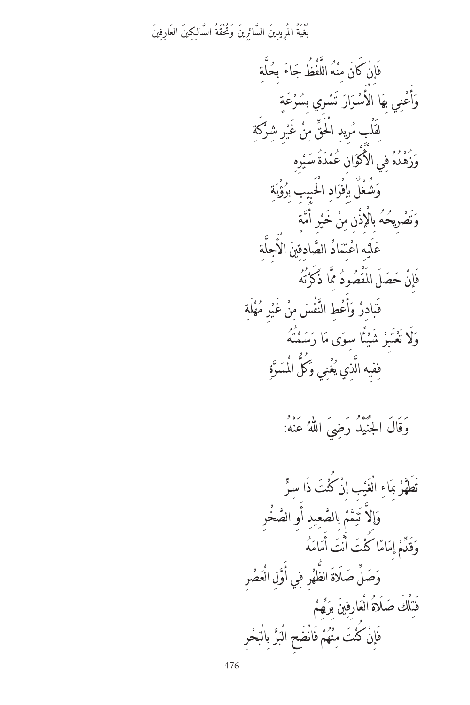ِ ،<br>بَغْيَةُ المُرِيدِينَ السَّائِرِينَ وَتُحْقَةُ السَّالِكِينَ العَارِفِينَ

ِ إِنْ كانَ مِنْهُ اللُّفظ جَاءَ بِحُلةِ<br>مِنْ ّ ֧<u>֚</u>֚֓ ْ ِن ف ٍ وَأُعْنِي بِهَا الأَسْرَارَ تَسْرِي بِسُرْعَةٍ<br>مَسْتَقْبَلُ بِينَ ֧ׅ֡֬֝֟֓<u>֓</u> .<br>; ن ا<br>ا ا.<br>ا ؚ<br>ا ِ َكة ِر ِ شر ْ َ غي ِن ّ م ِر ِ يد َْ الق ْ ِب م َقل ֧ׅ֡<u>֚</u> ا<br>ا ٔ<br>ا ِ ل ِ وَزُهْدُهُ فِي الأَكْوَانِ عُمْدَةُ سَيْرِهِ ֦֧<u>֘</u> ِ وَشُغْلٌ بِإِفْرَادِ الْحَبِيبِ بِرُؤْيَةِ<br>مَّاسِي َ ي ֦֧<u>֓</u> ٍ وَتَصْرِيحُهُ بِالْإِذْنِ مِنْ خَيْرِ أُمَّةٍ ֡֝֟֟֟֟֟֟֟֟֟֟֟֟֟֟֟֡֬ ا<br>ا ت َ ِ عَلَيْهِ اعْتِمَادُ الصَّادِقِينَ الأَجِلَّةِ<br>مَدَّ ّ ت **ٔ** ْ ُ<br>ا إِنْ حَصَلَ المقصُودُ مِمَّا ذَكَرْتُهُ .<br>ذ ֦֧<u>֔</u> ∣<br>∫ ف **∶** ادِرْ وَأَعْطِ النَّفْسَ مِنْ غَيْرِ مُهْلَةِ<br>- $\overline{y}$ ֧֧֧֧֟֓֟֓֓֬֟֓֓<u>֓</u> ابل المستقبل المستقبل المستقبل المستقبل المستقبل المستقبل المستقبل المستقبل المستقبل المستقبل المستقبل المستقب<br>المستقبل المستقبل المستقبل المستقبل المستقبل المستقبل المستقبل المستقبل المستقبل المستقبل المستقبل المستقبل ال ا<br>ا ّ ا.<br>أ ؚ<br>ا ·<br>• ا ف ار<br>ا وَلَا تَعْتَبِرْ شَيْئًا سِوَى مَا رَسَمْتُهُ<br>مُفْسِر ا<br>ا ֖֖֡֬֟֓֓֓֓֓֓֓**֓** ت ֦֧֧֟֟֓<u>֓</u> َ  $\ddot{\phantom{a}}$ ة ֧<u>֚</u> فيه الَّذِي يُغْنِي وَكلَّ الْمَسَرَّ َ :<br>:<br>: المسلم<br>المسلمات<br>المسلمات ֖֚֚֚֚֚֡<br>֧֚֝ ف

وَقَالَ الْجُنْيَدُ رَضِيَ اللَّهُ عَنْهُ: �

ّ ْ َت َ ذ ِ ا سر ْ ُ كن ِن ِب إ ْ َي ْغ ِ ال َاء ِ ب ْ ر ّ َ َطه ت ّ ْخِر َ ِو الص ِ ِيد أ ّ ع بِالص ْ م ّ م َ َي ل ت ّ ِ إ َ و ُ ه َ َام َم ْ َت أ ن َ ْ َت أ ً ُ ا كن َام ِم إ ْ م ّ َد ق َ و ْ ِر َص ْع ِل ال ّ َو ِي أ ِر ف ْ الظه ّ َ َ َلة ل ص ّ َ َص و ْ ِهم ّ ب َ َ بِر ِي َ ِارف ْع ُ ال َ َلة ْ َك ص ل ِ َت ف ِر ْ َح ب ْ بِال ّ ر َ ب ْ ْ َض ِح ال َان ْ ف ُم ه ْ ِن ْ َت م ْ ُ كن َ ِإن ف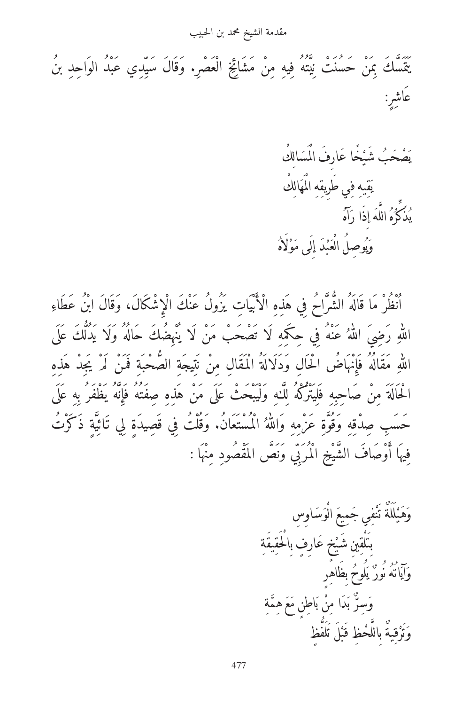مقدمة الشيخ محمد بن الحبيب

بَّتَسَكَ بِمَنْ حَسُنَتْ نِيَّتُهُ فِيهِ مِنْ مَشَائِخِ الْعَصْرِ. وَقَالَ سَيِّدِي عَبْدُ الوَاحِدِ بنُ عَاشِرِ:

صْحَبُ شَيْخًا عَارِفَ الْمَسَالِكِ<br>\* ֧֡֡֬֟֟֓<u>֖</u> ي قيبهِ فِي طَرِيقِهِ الْمَهَالِكُ<br>ـ َ ي ُ َذَكِّرَهُ اللهَ إِذَا رَاهُ<br>· **ृ** ֧֖֖֖ׅ֖֖֧֚֚֚֚֚֚֚֚֚֚֚֚֚֚֚֚֕֩<u>֓</u> ه ُ ّ ي ُ وَيُوصِلُ الْعَبْدَ إِلَى مَوْلَاهُ ֦֧֘<u>֘</u> ا<br>ا ِ ْ ب َ ي َ

انظر ما قاله الشراح فِي هذِهِ الْأبياتِ يزُولُ عُنْكَ الْإِشْكَالُ، وَقَالَ ابْنُ عَطَاءِ اللَّهِ رَضِي اللَّهُ عَنْهُ فِي حِكْمِهِ لَا تصحب من لا ينهِضك حاله ولا يدلك على � � اللَّهِ مَقَالُهُ فَإِنَّهَاضَ الْحَالِ وَدَلَالَةِ الْمُقَالِ مِنْ نَتِيجَةِ الصحْبَةِ فَمَنْ لَمْ يَجِدْ هَذِهِ l<br>. الْحَالَة مِنْ صَاحِبِهِ فَلِيتِرْكَهُ لِكَ وَلَيْبَحَثْ عَلَى مَنْ هَذِهِ صِفْتُه فَإِنَّهُ يَظْفَر بِهِ عَلَ حَسَبِ صِدْقِهِ وَقُوَّةٍ عَزْمِهِ وَاللَّهُ الْمُسْتَعَانَ. وَقُلْتُ فِي قَصِيدَةٍ لِي تَأْتِيةٍ ذَكَرْتُ ì. فِيهَا أَوْصَافَ الشَّيْخِ الْمُرَبِّي وَنَصَّ المَقْصُودِ مِنْهَا :

َ ِاو ِس َ س ْو َ ال ِيع َ م ِي ج ف ْ َن ٌ ت َة َل ل ْ َ ي َه و ِ ِ َيقة َ ِار ٍف بِ َْالق ٍخ ع ْ ِ ِي َ شي ْق َل بِت ِ ٍر ُ بِ َظاه ُلوح َ ٌ ي ُور ُ ن ُه ات َ آي َ و ِ ة ّ ِم َ ه ع َ ِاطٍن م َ ْ ب ِن َ ا م َد ر ب ِسّ َ و ف ٍظ َّ َل َل ت ْ َب ْ ِظ ق ّح ٌ بِالل ِية ق ْ َر ت َ و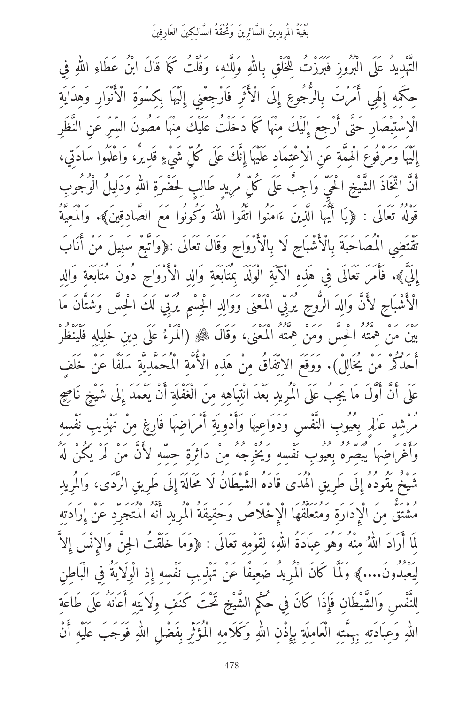.<br>بُغْيَةُ المُرِيدِينَ السَّائِرِينَ وَتُحْقَةُ السَّالِكِينَ العَارِفِينَ

التَّهْدِيدُ عَلَى الْبَرُوزِ فَبَرَزْتُ لِلْخَلْقِ بِاللهِ وَلِلَّدِ، وَقُلْتُ كَمَا قَالَ ابْنُ عَطَاءِ اللهِ فِي � � حِكْمِهِ إِلَهِي امرت بِالرجوعِ إِلَى الآثرِ فَارْجِعْنِي إِلَيْهَا بِكِسُوةِ الآنوارِ وَهِدَايَةِ ۖ ∫ الْاِسْتِبْصَارِ حَتَّى أَرْجِعَ إِلَيْكَ مِنْهَا كَمَا دَخَلْتُ عَلَيْكَ مِنْهَا مَصُونَ السّرِّ عَن النَّظَر إِلَيْهَا وَمَرْفُوعَ الْهِمَّةِ عَنِ الْاِعْتِمَادِ عَلَيْهَا إِنَّكَ عَلَى كُلِّ شَيْءٍ قَدِيرٌ، وَاعْلَمُوا سَادَتِي، أَنَّ اتِّخَاذُ الشَّيْخِ الْحَيِّ وَاجِبَ عَلَى كُلِّ مُرِيدٍ طَالِبٍ لِحَضْرَةِ اللَّهِ وَدَلِيلُ الْوَجُوبِ � قُولُه تَعَالَى : ﴿يَا ايهَا الَّذِينَ ءَامَنُوا اتَّقُوا اللَّهَ وَكُونُوا مَعَ الصَّادِقِينَ﴾. والمُعِيَّة � تَقْتَضِي الْمَصَاحَبَةَ بِالْأَشْبَاحِ لَا بِالْأَرْوَاحِ وَقَالَ تَعَالَى :﴿وَاتَّبِعْ سَبِيلَ مَنْ أَنَابَ ِإِلَيّ)». فَأَمَرَ تَعَالَى فِي هَذِهِ الْآيَةِ الْوَلَدَ بِمَتَابَعَةِ وَالِدِ الْأَرْوَاحِ دُونَ مُتَابَعَةِ وَالِدِ الْأَشْبَاحِ لأَنَّ وَالِدَ الرَّوحِ يَرَبِّي الْمَعْنَى وَوَالِدِ الْجِسْمِ يَرَبِّي لَكَ الْحِسْ وَشَتّانَ مَا ِبين من هِمته الحِس ومن هِمته المعنى، وقال ﷺ (المرءُ على دِينِ خَلِيلِهِ فَلينظر<br>. مَ كُمُوْ مَنْ يُخَالِلْ). وَوَقَعَ الاِتِّفَاقُ مِنْ هَذِهِ الْأُمَّةِ الْمُحَمَّدِيَّةِ سَلَفًا عَنْ خَلَف ٍ عَلَى أَنْ أَوَّلَ مَا يَجِبُ عَلَى الْمُرِيدِ بَعْدَ انْتِبَاهِهِ مِنَ الْغَفْلَةِ أَنْ يَعْمَدَ إِلَى شَيْخٍ نَاصِح مُرْشِدٍ عَالِمِ بِعُيُوبِ النَّفْسِ وَدَوَاعِيهَا وَأَدْوِيَةِ أَمْرَاضِهَا فَارِغٍ مِنْ نَهْذِيبِ نَفْسِهِ َوَأَغْرَاضِهَا يُبصِّرُهُ بِعَيُوبِ نَفْسِهِ وَيُخْرِجُهُ مِنْ دَائِرَةِ حِسّهِ لأَنَّ مَنْ لَمْ يَكُنْ لَهُ َ شَيْخٌ يَقُودُهُ إِلَى طَرِيقِ الْهُدَى قَادَهُ الشَّيْطَانُ لَا مَحَالَةَ إِلَى طَرِيقِ الرَّدَى، وَالمُرِيدِ مشتق مِن الْإِدارةِ وَمُتَعَلِّقُهَا الْإِخْلَاصُ وَحَقِيقَةِ الْمَرِيدِ أَنَّهُ الْمُتَجَرِّدِ عَنْ إِرَادَتِهِ لِمَا أَرَادَ اللّهُ مِنْهُ وَهُوَ عِبَادَةَ اللّهِ، لِقَوْمِهِ تَعَالَى : ﴿وَمَا خَلَقْتَ الْجِنّ وَالْإِنْسَ إِلا Ĭ. ì. لِيَعْبُدُونَ....﴾ وَلَمَّا كَانَ الْمُرِي*دُ* ضَعِيفًا عَنْ تَهْذِيبِ نَفْسِهِ إِذِ الْوِلَايَةُ فِي الْبَاطِنِ لِلنَّفْسِ وَالشَّيْطَانِ فَإِذَا كَانَ فِي حُكْمِ الشَّيْخِ تَحْتَ كَنَفٍ وِلَايَتِهِ أَعَانَهُ عَلَى طَاعَة اللَّهِ وَعِبَادَتِهِ بِهِمْتِهِ الْعَامِلَةِ بِإِذْنِ اللَّهِ وَكَلاَمِهِ الْمُؤْثِرِ بِفَضْلِ اللَّهِ فَوْجِب عَلَيْهِ أَنْ � � �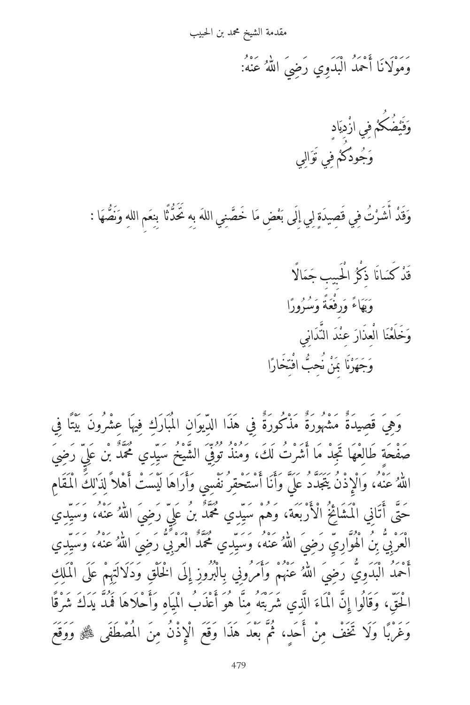مقدمة الشيخ محمد بن الحبيب

وَمُولاَنَا أَحْمَدُ الْبُدُوِي رَضِيَ اللهُ عَنْهُ: �

وَفَيْضُكُمْ فِي ازْدِيَادِ ي ِ ا<br>ا َي ف ؚ<br>ا وَجُودُكُمْ فِي تَوَالِي َ ا<br>ا

وَقَدْ أَشَرْتُ فِي قَصِيدَةٍ لِي إِلَى بَعْضِ مَا خَصَّنِي اللهَ بِهِ تَحَدُّثًا بِنِعَمِ اللهِ وَنَصُّهَا :<br>\* <u>֚</u> .<br>د ֺ֖֧֚֝<u>֚</u> ّ ن ّ َ ل ِ ق ؚ<br>ا

> َنْدَ كَسَانًا ذِكْرُ الْحَبِيبِ جَمَالًا ا<br>ا ق ا ً وَبَهَاءً وَرِفَعَةً وَسُرُورً َ َ ب َ وَخَلَعْنَا الْعِذَارَ عِنْدَ النَّدَانِي ّ ِ ن **ٔ** ا ً وَجَهَزْنَا بَمَنْ نُحِبُّ افْتِخَارًا ْت ن ֧ׅ֡<u>֚</u>

وَهِيَ قَصِيدَةٌ مَشْهُورَةٌ مَذْكُورَةٌ فِي هَذَا الدِّيوَانِ المُبَارَكِ فِيهَا عِشْرُونَ بَيْتًا فِي صَفَحَةٍ طَالِعُهَا تَجِدْ مَا أَشْرَتْ لَكَ، وَمُنْذُ تُوْفِي الشَّيخُ سَيْدِي مُحَمَّد بن عَلِي رَضِي اللهُ عَنْه، والْإِذْنُ يَتَجَدْدُ عْلِي وَأَنَا اسْتَحْقِرْ نْفْسِي وَأرَاهَا لَيْسَتْ أَهْلاَ لِذَٰلِكَ الْمُقَامِ ì. حتى اتَّانِي المشائخ الأربعة، وهم سيِدِي محمد بن علي رَضِي اللَّهُ عنه، وسيِدِي � الْعَرْبِي بِنَ الْهُوَارِيِ رَضِيَ اللَّهُ عَنْهُ، وَسَيِّدِي مُحَمَّد الْعَرْبِي رَضِيَ اللَّهُ عَنْهُ، وَسَيِّدِي � � احمد البدوِي رضِي اللهُ عنهم وامرونِي بِالبروزِ إِلى الخلقِ ودلالتِهِم على الملكِ ì. الْحَقِ، وَقَالُوا إِنَّ الْمَاءَ الَّذِي شَرَّبَتْهُ مِنَا هُوَ أَعَذَبِ الْمَيَاهِ وَأَحْلاَهَا فَمَدَّ يَدْكَ شَرْقًا وغربًا ولا تخف مِن أحدٍ، ثم بعد هذا وقع الإِذن مِن المصطفى ﷺ ووقع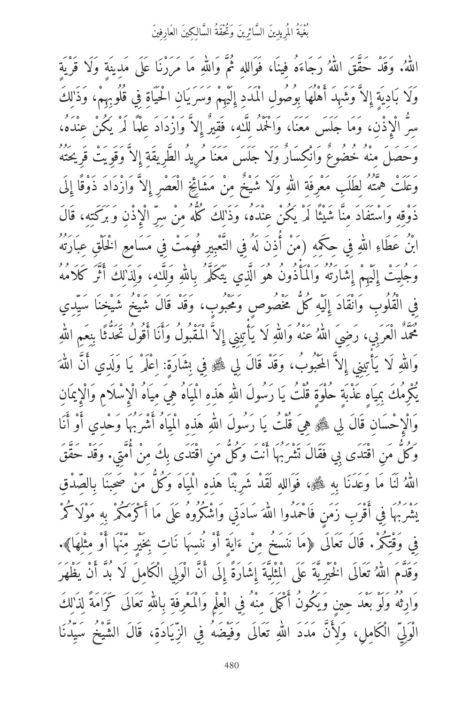ِ ،<br>بَغْيَةُ المُرِيدِينَ السَّائِرِينَ وَتُحْقَةُ السَّالِكِينَ العَارِفِينَ

اللّهُ. وقد حقق اللهُ رجاءَه فِينا، فواللهِ ثم واللّهِ ما مررنًا على مدِينةٍ ولا قريةٍ � � � وَلَا بَادِيَةٍ إِلاَّ وَشَهِدَ أَهْلُهَا بِوُصُولِ الْمَدَدِ إِلَيْهِمْ وَسَرَيَانِ الْحَيَاةِ فِي قُلُوبِهِمْ، وَذَٰلِكَ سِرُّ الْإِذْنِ، وَمَا جَلَسَ مَعَنَا، وَالْحَمْدُ لِلَّـهِ، فَقِيرٌ إِلاَّ وَازْدَادَ عِلْمًا لَمْ يَكُنْ عِنْدَهُ، وَحَصَلَ مِنْهُ خُضُوعٌ وَانْكِسَارٌ وَلَا جَلَسَ مَعَنَا مُرِيدُ الطَّرِيقَةِ إِلاَّ وَقَوِيتْ قَرِيحَتُهُ ِوَعَلَتْ هِمْتُهُ لِطَلْبِ مَعْرِفَةِ اللَّهِ وَلَا شَيْخٌ مِنْ مَشَائِخِ الْعَصْرِ إِلَّا وَازْدَادْ ذُوقًا إِلَى � دَوْقِهِ وَاسْتَفَادَ مِنَّا شَيْئًا لَمْ يَكُنْ عِنْدَهُ، وَذَٰلِكَ كُلُّهُ مِنْ سِرِّ الْإِذْنِ وَبَرَكَتِهِ، قَالَ ابْنُ عَطَاءِ اللهِ فِي حِكْمِهِ (مَنْ أَذِنَ لَهُ فِي التَّعْبِيرِ فَهِمَتْ فِي مَسَامِعِ الْخُلْقِ عِبَارَتَهُ � وَجَلِيتَ إِلَيهِمْ إِشَارَتَهُ وَالْمَأْذُونَ هُوَ الَّذِي يَتَكَلَّمُ بِاللَّهِ وَلِلَّـٰهِ، وَلِذَٰلِكَ أَثَرَ كَلامُهُ � فِي الْقُلُوبِ وَانْقَادَ إِلَيْهِ كُلَّ مَخْصُوصٍ وَمَحْبُوبٍ، وَقَدْ قَالَ شَيْخُ شَيْخِنَا سَيِّدِي محمد العربي، رَضِي اللَّهُ عنه واللَّهِ لا يَأْتِينِي إِلا المقبول وأنَا أقول تحدثًا بِنِعْمِ اللَّهِ � � ì. واللَّهِ لاَ يَأْتِينِي إِلاَ المحبوب، وقد قال لِي ﷺ فِي بِشَارَةٍ: اِعْلَمِ يَا وَلدِي أَنْ اللَّهَ � l<br>. بَكْرِمْك بِمِياهِ عَذْبَةٍ حَلْوَةٍ قُلْتٌ يَا رَسُولُ اللَّهِ هَذِهِ المَيّاه هِي مِياه الْإِسْلامِ والْإِيمانِ � والإِحسانِ قال لِي ﷺ هِي قلت يَا رسول اللهِ هذِهِ المَياه أشربها وحدِي أو أنَا � وَكُل مَنِ اقْتُدَى بِي فَقَالَ تَشْرَبُها انتْ وَكُلّ مَنِ اقْتُدَى بِكَ مِنْ امْتِي. وَقَدْ حَقْق اللَّهُ لنا ما وعدنًا بِهِ ﷺ، فواللهِ لقد شَرِبْنا هَذِهِ المَياه وكُلٌّ مَنْ صَحِبْنا بِالصِدْقِ ì. بشربها فِي اقربِ زَمْنٍ فَاحْمَدُوا اللَّهَ سَادَتِي وَاشْكُرُوهُ عَلَى مَا اكْرْمَكُمْ بِهِ مَوْلًا كُمْ � فِي وَقْتِكُمْ. قَال تَعَالَى ﴿مَا نَنسَخُ مِنْ ءَايَةٍ أوْ نَنسِها نَاتٍ بِخَيْرٍ مِنْهَا أوْ مِثْلِهَا﴾. وَقَدَمَ اللَّهُ تَعَالَى الْخَيْرِيةَ عَلَى الْمِثْلِيَةَ إِشَارَةً إِلَى أَنَّ الْوَلِي الْكَامِلَ لَا بَدْ أَنْ يَظْهَر � وَارِثَه وَلَوْ بَعْدَ حِينٍ وَيَكُونُ أَكَمَلَ مِنْهُ فِي الْعِلْمِ وَالْمَعْرِفَةِ بِاللَّهِ تَعَالَى كَرَامَةً لِذَٰٰلِك � الُولِي الكَامِلِ، وَلِأَنْ مَدَدَ اللَّهِ تَعَالَى وَفِيضَهُ فِي الزِيَادَةِ، قال الشيخ سيدنًا �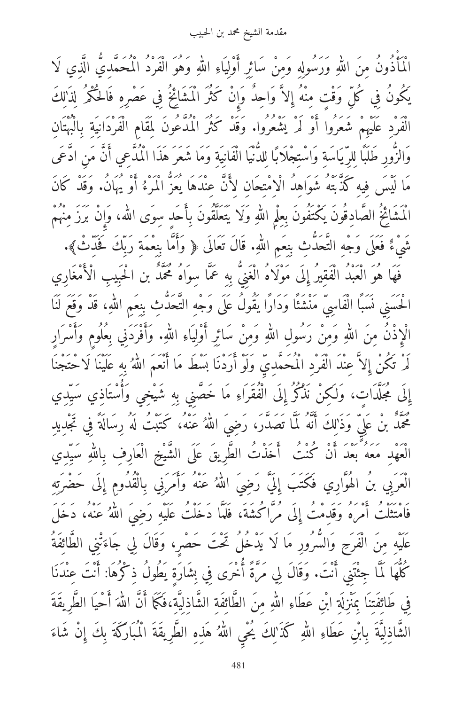مقدمة الشيخ محمد بن الحبيب

الْمَأْذُونُ مِنَ اللهِ وَرَسُولِهِ وَمِنْ سَائِرِ أُوْلِيَاءِ اللهِ وَهُوَ الْفَرْدُ الْمُحَمَّدِيّ الَّذِي لَا � � بِكُونَ فِي كُلِّ وَقْتٍ مِنْهُ إِلاَّ وَاحِدٌ وَإِنْ كَثَرَ الْمُشَائِخُ فِي عَصْرِهِ فَالْحَكْمَ لِذَٰٰلِكَ الْفَرْدِ عَلَيْهِمْ شَعَرُوا أَوْ لَمْ يَشْعُرُوا. وَقَدْ كَثْرَ الْمُدَّعُونَ لِمَقَامِ الْفَرْدَانِيَةِ بِالْبُهْتَانِ وَالزُورِ طَلَبًا لِلرِيَاسَةِ وَاسْتِجْلاَبَا لِلدُّنيَا الْفَانِيَةِ وَمَا شَعَرَ هَذَا الْمَدْعِي أَنْ مَنِ أَدْعَى مَا لَيْسَ فِيهِ كَذَّبَتَهُ شَوَاهِدِ الْاِمْتِحَانِ لِأَنْ عِنْدَهَا يَعْزُ الْمَرْءُ أَوْ يُهَانَ. وَقَدْ كَان المشائخ الصادِقون يكتفون بِعِلْمِ اللهِ ولا يتعلقون بِأحدٍ سِوى الله، وإِن برز مِنهم � � شيءٌ فعلى وجهِ التحدثِ بِنِعمِ اللَّهِ. قال تعالى ﴿ وَأَمَا بِنِعْمَةِ رَبِكَ فَحْدِثٌ﴾.<br>. � فَهَا هُوَ الْعَبْدُ الْفَقِيرِ إِلَى مُولَاهُ الْغَنِي بِهِ عَمَّا سِوَاهُ مُحَمَّد بن الْحَبِيبِ الْأمْغَارِي ِ الْحَسِنِي نَسْبًا الْفَاسِي مَنْشَئًا وَدَارًا يَقُولُ عَلَى وَجْهِ التَّحَدُّثِ بِنِعْمِ اللَّهِ، قد وقع لنا � الْإِذْنُ مِنَ اللّهِ وَمِنْ رَسُولِ اللهِ وَمِنْ سَائِرِ أَوْلِيَاءِ اللهِ. وَأَفْرَدَنِي بِعُلُومٍ وَأَسْرَارٍ � � � لْمَ تَكُنْ إِلَّا عِنْدَ الْفَرْدِ الْمَحْمَدِيِ وَلَوْ ارْدْنَا بَسْطَ مَا أَنْعَمَ اللَّهُ بِهِ عَلَيْنَا لاحْتجنا � إِلَى مُجَلَّدَاتٍ، وَلَكِنْ نَذْكُرُ إِلَى الْفُقَرَاءِ مَا خَصَنِي بِهِ شَيْخِي وَأَسْتَاذِي سَيِّدِي محمد بن علِي وذْٰلِك انه لما تصدر، رَضِيَ اللهُ عَنْه، كُتُبَتْ له رِسَالَةٌ فِي تَجْدِيدِ � الْعَهْدِ مَعَهُ بَعْدَ أَنْ كُنْتُ ۖ أَخَذْتُ الطَّرِيقُ عَلَى الشَّيْخِ الْعَارِفِ بِاللَّهِ سَيِّدِي � الْعَرْبِي بنَ الْهُوارِي فَكَتبٍ إِلَي رَضِي اللهُ عَنْه وَامْرِنِي بِالْقَدْوَمِ إِلَى حَضْرَتِهِ � فَامْتِثْلَتْ امْرُهْ وَقْدِمْتْ إِلَى مْرَاكْشَة، فَلَمَا دْخَلْتْ عْلَيْهِ رَضِي اللَّهُ عَنْهُ، دْخَلْ � عَلَيْهِ مِنَ الْفَرَجِ وَالسَّرُورِ مَا لَا يَدْخُلُ تَحْتَ حَصْرٍ، وَقَالَ لِي جَاءَتْنِي الطَّائِفَةُ كُلُّهَا لَمَا جِئْتَنِي انْتَ. وَقَالَ لِي مَرَّةُ اخْرَى فِي بِشَارَةٍ يَطُولُ ذِكْرُهَا: انْتَ عِنْدْنَا ۖ فِي طَائِفَتِنَا بِمَنْزِلَةِ ابْنِ عَطَاءِ اللهِ مِنَ الطَّائِفَةِ الشَّاذِلِيَّةِ،فَكَمَا أَنَّ اللهَ أُحْيَا الطَّرِيقَةَ � � الشَّاذِلِيَّةَ بِابْنِ عَطَاءِ اللَّهِ كَذَٰ'لِكَ يَحْيِ اللهُ هَذِهِ الطَّرِيقَةَ الْمُبَارَكَةَ بِكَ إِنْ شَاءَ � �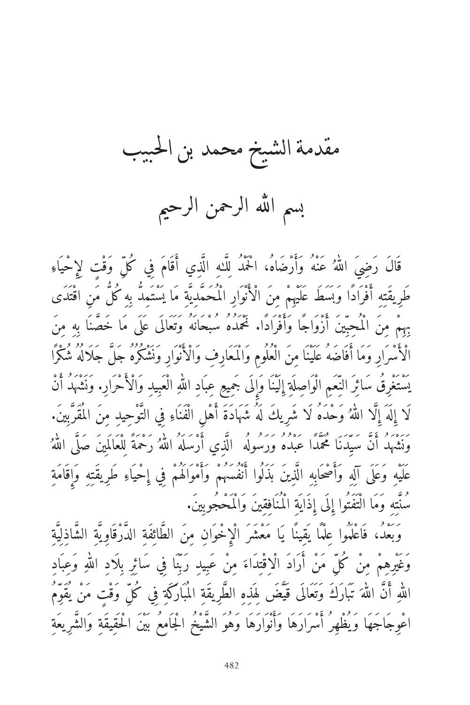مقدمة الشيخ محمد بن البيب بسم الله الرحمن الرحيم

قال رَضِيَ اللَّهُ عَنْهُ وَارْضَاهُ، الْحَمْدُ لِلَّـٰهِ الَّذِي أَقَامَ فِي كُلِّ وَقْتٍ لِإِحْيَاءِ � طَرِيقَتِهِ أَفْرَادًا وَبَسَطَ عَلَيْهِمْ مِنَ الْأَنْوَارِ الْمُحَمَّدِيَّةِ مَا يَسْتَمِدُّ بِهِ كُلُّ مَن اقْتَدَى بِهِمْ مِنَ الْمُحِبِّينَ أَزْوَاجًا وَأَفْرَادًا. نَحْمَدُهُ سُبْحَانَهُ وَتَعَالَى عَلَى مَا خَصَّنَا به مِنَ الْأَسْرَارِ وَمَا أَفَاضَهُ عَلَيْنَا مِنَ الْعُلُومِ وَالْمَعَارِفِ وَالْأَنْوَارِ وَنَشْكُرُهُ حَلّ جَلَالُهُ شُكْرًا بَسْتَغْرِقُ سَائِرَ النِّعَمِ الْوَاصِلَةِ إِلَيْنَا وَإِلَى جَمِيعِ عِبَادِ اللهِ الْعَبِيدِ وَالْأَحْرَارِ. وَنُشَهَدُ أَنْ � لَا إِلَهَ إِلَّا اللَّهُ وَحْدَهُ لَا شَرِيكَ لَهُ شَهَادَةَ أَهْلِ الْفَنَاءِ فِي التَّوْحِيدِ مِنَ المُقَرّبِينَ. � وَنْشُهْدَ أَنْ سَيِّدْنَا مُحْمَدًا عَبْدُهُ وَرَسُولُهُ ۖ الَّذِي أَرْسَلُهُ أَللَّهُ رَحْمَةً لِلْعَالَمِينَ صَلَى اللَّهُ � � عَلَيْهِ وَعَلَى آلِهِ وَأَصْحَابِهِ الَّذِينَ بَذَلُوا أَنْفُسَهُمْ وَأَمْوَاكُمْ فِي إِحْيَاءِ طَرِيقَتِهِ وَإِقَامَةِ مُنَّتِهِ وَمَا الْتَفَتُوا إِلَى إِذَايَةِ الْمُنَافِقِينَ وَالْمَحْجُوبِينَ.

وَبَعْدُ، فَاعْلَمُوا عِلْمًا يَقِينًا يَا مَعْشَرَ الْإِخْوَانِ مِنَ الطَّائِفَةِ الدَّرْقَاوِيَّةِ الشَّاذِلِيَّةِ وغيرِهِمْ مِنْ كُلِّ مَنْ أَرَادَ الْاِقْتِدَاءَ مِنْ عَبِيدِ رَبِنَا فِي سَائِرِ بِلاَدِ اللَّهِ وَعِبَادِ � اللَّهِ أَن اللَّهَ تبارك وتعالى قيض لِهذِهِ الطرِيقَةِ المباركَةِ فِي كُلِّ وَقْتٍ مَنْ يقوِمُ ì. � اعْوِجَاجَهَا وَيُظْهِرُ أَسْرَارَهَا وَأَنْوَارَهَا وَهُوَ الشَّيْخُ الْجَامِعُ بَيْنَ الْحَقِيقَةِ وَالشَّرِيعَةِ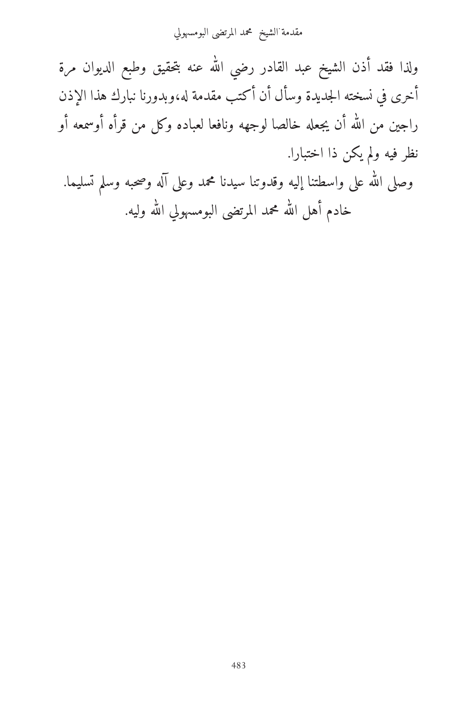مقدمة الشيخ محمد المرتضى البومسهولي .

ولذا فقد أذن الشيخ عبد القادر رضي الله عنه بتحقيق وطبع الديوان مرة � أخرى في نسخته الجديدة وسأل أن أكتب مقدمة له،وبدورنا نبارك هذا الإذن راجين من الله ان يجعله خالصا لوجهه ونافعا لعباده وكل من قرأه أوسمعه أو � نظر فيه ولم يكن ذا اختبارا. وصلى الله على واسطتنا إليه وقدوتنا سيدنا محمد وعلى آله وصحبه وسلم تسليما. �

> خادم آهل الله محمد المرتضى البومسهولي الله وليه. � �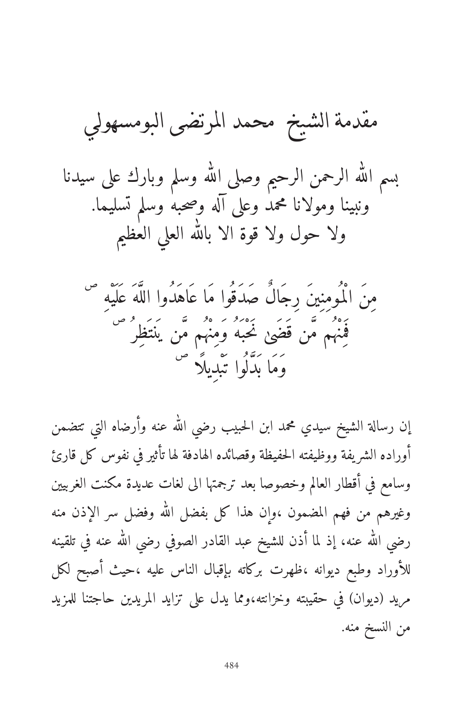مقدمة الشيخ محمد الرتضى البومسهولي له وسلم وبارك على سيدنا � ه الرحمن الرحيم وصلى ال� ل � بسم ال� ونبينا ومولانا محمد وعلى آله وصحبه وسلم تسليما. ه العلي العظيم ل � ولا حول ولا قوة الا بال�

ص َ مِنَ الْم ُومِنِينَ رِجَالٌ صَدَق ُوا مَا ع َاهَدُوا الل� ّهَ ع َل َيْهِ ص ل َ نَحْب َهُ وَمِنْه ُم م�ّن ي َنت َظِر ُ َ ف َمِنْه ُم م�ّن ق َضَى ص َ وَمَا ب َد�ّل ُوا ت َبْدِيل ًا

إن رسالة الشيخ سيدي محمد ابن الحبيب رضي الله عنه وارضاه التي تتضمن � أوراده الشريفة ووظيفته الحفيظة وقصائده الهادفة لها تأثير في نفوس كل قارئ وسامع في أقطار العالم وخصوصا بعد ترجمتها الى لغات عديدة مكنت الغربيين وغيرهم من فهم المضمون ،وإن هذا كل بفضل الله وفضل سر الإذن منه � رضي الله عنه، إذ لما آذن للشيخ عبد القادر الصوفي رضي الله عنه في تلقينه � ì. للأوراد وطبع ديوانه ،ظهرت بركاته بإقبال الناس عليه ،حيث أصبح لكل مريد (ديوان) في حقيبته وخزانته،ومما يدل على تزايد المريدين حاجتنا للمزيد من النسخ منه.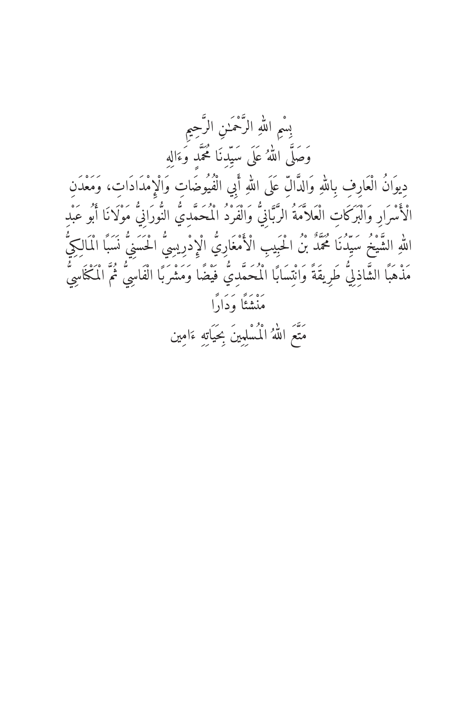بِسْمِ اللهِ الرَّحْمَنِ الرَّحِيمِ وَصَلَّى اللَّهُ عَلَى سَيّدنَا مُحَمّد وَءَاله دِيوَانُ الْعَارِفِ بِاللَّهِ وَالدَّالِّ عَلَى اللهِ أَبِي الْفُيُوضَاتِ وَالْإِمْدَادَاتِ، وَمَعْدَنِ الْأَسْرَارِ وَالْبَرَكَاتِ الْعَلاَّمَةُ الرَّبَّانِيُّ وَالْفَرْدُ الْمُحَمَّدِيُّ النُّورَانِيُّ مَوْلَانَا أَبُو عَبْدِ اللهِ الشَّيْخُ سَيِّدُنَا مُحَمَّدٌ بْنُ الْحَبِيبِ الْأَمْغَارِيُّ الْإِدْرِيسِيُّ الْحَسَنِيُّ نَسَبًا الْمَالِكِيُّ مَذْهَبًا الشَّاذِلِيُّ طَرِيقَةً وَانْتِسَابًا الْمُحَمَّدِيُّ فَيْضًا وَمَشْرَبًا الْفَاسِيُّ ثُمَّ الْمُكْاسِيّ مَنْشَئًا وَدَارًا ريح<br>مَتَعَمَ اللَّهُ الْمُسْلِبِينَ بِحَيَاتِهِ ءَامِين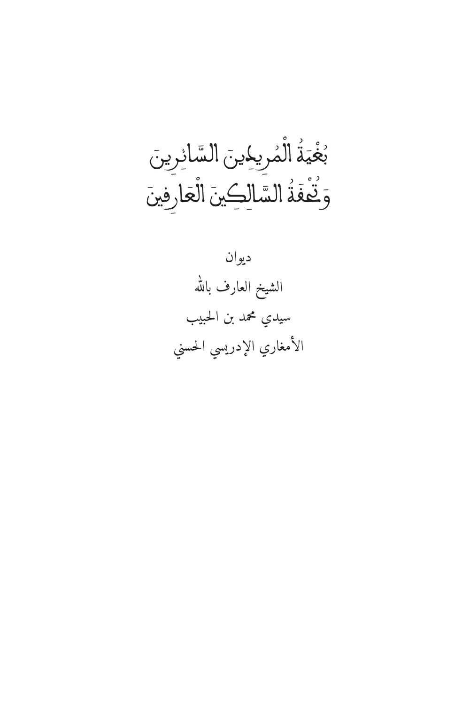للصَّحِيَّةُ المُرِيجِينِ السَّائِرِينَ<br>م ؚ<br>ا ا<br>ا ُ ֺ֖֧֚֝֝֟֟֟֟֓֬֝֬֝֓֬֝֬֝֓֬֝֬֝֬֝֬֝֬֝֓֬֝֬֝֓֬֝֓֬֝֬֝֓֬֝֬֝֬֝֓֬֝֬֝֓֬֝֬֝֬֝֬֝֬֝֬֝֓֬֝֬֝֬֝֬֝֬֝֬֝֬֝֬ ب وَتَّعَفَّةُ السَّالِكِينَ الْعَارِفِينَ ٔ<br>ٔ **ُ** ؚ<br>ا

ديوان له � الشيخ العارف بال� سيدي محمد بن الحبيب الأمغاري الإدريسي الحسني